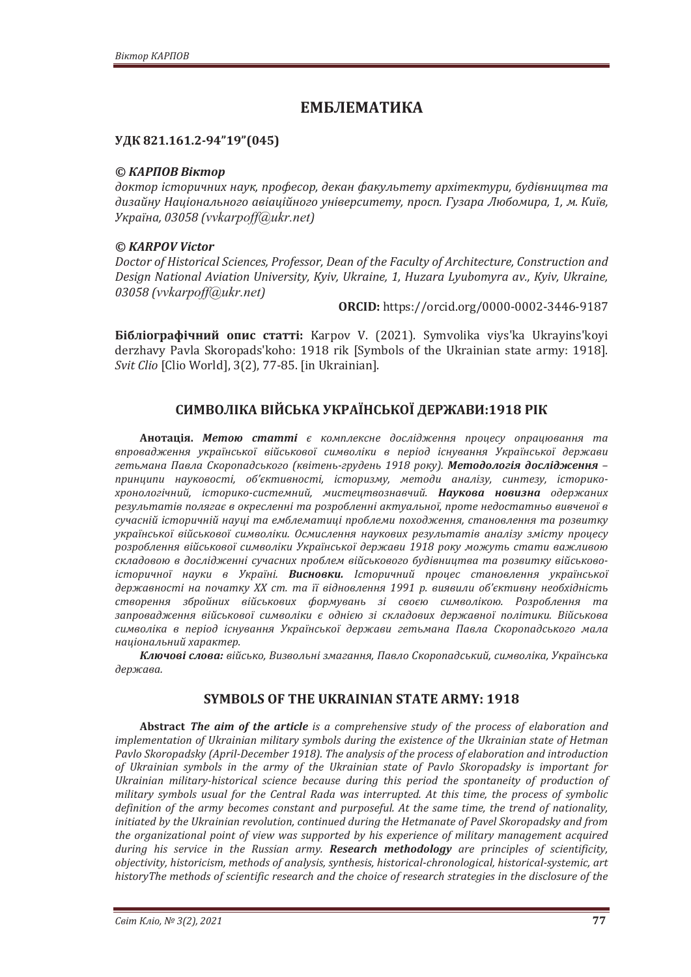# ЕМБЛЕМАТИКА

## **УДК 821.161.2-94"19" (045)**

## © *KAPΠOB Biκmop*

доктор *історичних наук, професор, декан факультету архітектури, будівництва та* дизайну Національного авіаційного університету, просп. Гузара Любомира, 1, м. Київ, *ʢˍ˓˃˫ː˃ǡͶͶͻ;(vvkarpoff@ukr.net)*

## *© KARPOV Victor*

Doctor of Historical Sciences, Professor, Dean of the Faculty of Architecture, Construction and *Design National Aviation University, Kyiv, Ukraine, 1, Huzara Lyubomyra av., Kyiv, Ukraine, ͶͶͻ;(vvkarpoff@ukr.net)*

**ORCID:** https://orcid.org/0000-0002-3446-9187

**Бібліографічний опис статті:** Karpov V. (2021). Symvolika viys'ka Ukrayins'koyi derzhavy Pavla Skoropads'koho: 1918 rik [Symbols of the Ukrainian state army: 1918]. Svit Clio [Clio World], 3(2), 77-85. [in Ukrainian].

## СИМВОЛІКА ВІЙСЬКА УКРАЇНСЬКОЇ ДЕРЖАВИ:1918 РІК

**Анотація. Метою статті** є комплексне дослідження процесу опрацювання та впровадження української військової символіки в період існування Української держави  $z$ етьмана Павла Скоропадського (квітень-грудень 1918 року). **Методологія дослідження** – npuнципи науковості, об'єктивності, історизму, методи аналізу, синтезу, історикохронологічний, історико-системний, мистецтвознавчий. **Наукова новизна** одержаних результатів полягає в окресленні та розробленні актуальної, проте недостатньо вивченої в сучасній історичній науці та емблематиці проблеми походження, становлення та розвитку української військової символіки. Осмислення наукових результатів аналізу змісту процесу дозроблення військової символіки Української держави 1918 року можуть стати важливою складовою в дослідженні сучасних проблем військового будівництва та розвитку військовоiсторичної науки в Україні. Висновки. Історичний процес становлення української державності на початку XX ст. та її відновлення 1991 р. виявили об'єктивну необхідність створення збройних військових формувань зі своєю символікою. Розроблення та запровадження військової символіки є однією зі складових державної політики. Військова символіка в період існування Української держави гетьмана Павла Скоропадського мала **наиіональний характер.** 

Ключові слова: військо, Визвольні змагання, Павло Скоропадський, символіка, Українська держава.

## **SYMBOLS OF THE UKRAINIAN STATE ARMY: 1918**

Abstract The aim of the article is a comprehensive study of the process of elaboration and implementation of Ukrainian military symbols during the existence of the Ukrainian state of Hetman Pavlo Skoropadsky (April-December 1918). The analysis of the process of elaboration and introduction of Ukrainian symbols in the army of the Ukrainian state of Pavlo Skoropadsky is important for Ukrainian military-historical science because during this period the spontaneity of production of military symbols usual for the Central Rada was interrupted. At this time, the process of symbolic *definition of the army becomes constant and purposeful. At the same time, the trend of nationality, initiated by the Ukrainian revolution, continued during the Hetmanate of Pavel Skoropadsky and from* the organizational point of view was supported by his experience of military management acquired *during his service in the Russian army. Research methodology are principles of scientificity, <i>objectivity, historicism, methods of analysis, synthesis, historical-chronological, historical-systemic, art* historyThe methods of scientific research and the choice of research strategies in the disclosure of the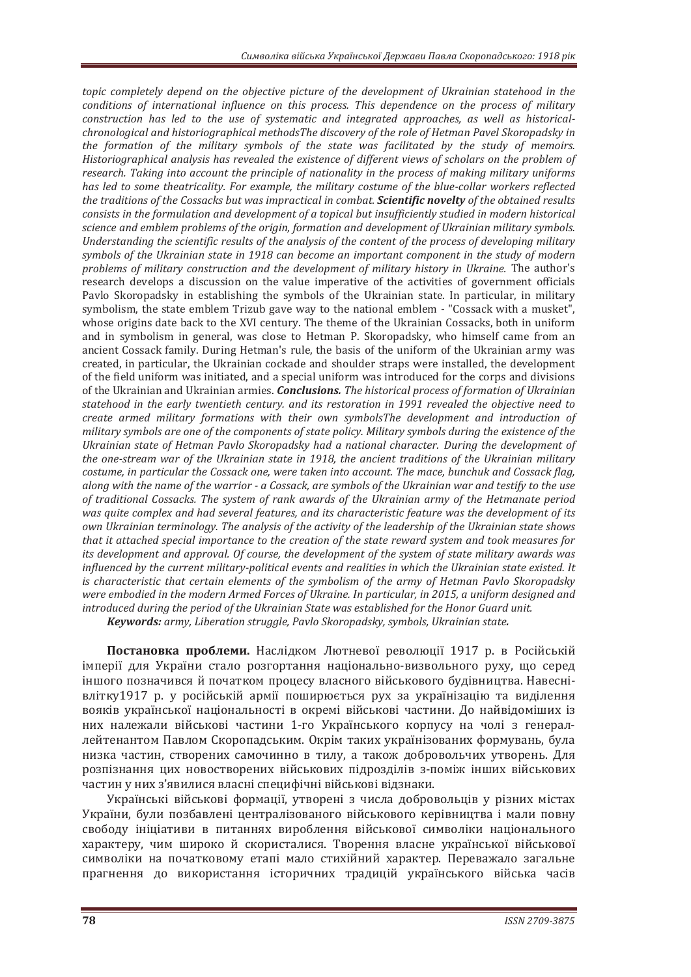*topic completely depend on the objective picture of the development of Ukrainian statehood in the* conditions of international influence on this process. This dependence on the process of military construction has led to the use of systematic and integrated approaches, as well as historicalchronological and historiographical methodsThe discovery of the role of Hetman Pavel Skoropadsky in the formation of the military symbols of the state was facilitated by the study of memoirs. Historiographical analysis has revealed the existence of different views of scholars on the problem of *research. Taking into account the principle of nationality in the process of making military uniforms has led to some theatricality. For example, the military costume of the blue-collar workers reflected the traditions of the Cossacks but was impractical in combat. Scientific novelty of the obtained results* consists in the formulation and development of a topical but insufficiently studied in modern historical *science and emblem problems of the origin, formation and development of Ukrainian military symbols.* Understandina the scientific results of the analysis of the content of the process of developina military *symbols of the Ukrainian state in 1918 can become an important component in the study of modern* problems of military construction and the development of military history in Ukraine. The author's research develops a discussion on the value imperative of the activities of government officials Pavlo Skoropadsky in establishing the symbols of the Ukrainian state. In particular, in military symbolism, the state emblem Trizub gave way to the national emblem - "Cossack with a musket", whose origins date back to the XVI century. The theme of the Ukrainian Cossacks, both in uniform and in symbolism in general, was close to Hetman P. Skoropadsky, who himself came from an ancient Cossack family. During Hetman's rule, the basis of the uniform of the Ukrainian army was created, in particular, the Ukrainian cockade and shoulder straps were installed, the development of the field uniform was initiated, and a special uniform was introduced for the corps and divisions of the Ukrainian and Ukrainian armies. *Conclusions*. *The historical process of formation of Ukrainian statehood in the early twentieth century, and its restoration in 1991 revealed the objective need to* create armed military formations with their own symbolsThe development and introduction of *military symbols are one of the components of state policy. Military symbols during the existence of the* Ukrainian state of Hetman Pavlo Skoropadsky had a national character. During the development of *the one-stream war of the Ukrainian state in 1918, the ancient traditions of the Ukrainian military costume, in particular the Cossack one, were taken into account. The mace, bunchuk and Cossack flag. along with the name of the warrior - a Cossack, are symbols of the Ukrainian war and testify to the use* of traditional Cossacks. The system of rank awards of the Ukrainian army of the Hetmanate period was quite complex and had several features, and its characteristic feature was the development of its *own Ukrainian terminology. The analysis of the activity of the leadership of the Ukrainian state shows* that it attached special importance to the creation of the state reward system and took measures for *its development and approval. Of course, the development of the system of state military awards was influenced by the current military-political events and realities in which the Ukrainian state existed. It is characteristic that certain elements of the symbolism of the army of Hetman Pavlo Skoropadsky* were embodied in the modern Armed Forces of Ukraine. In particular, in 2015, a uniform designed and introduced during the period of the Ukrainian State was established for the Honor Guard unit.

*Keywords: army, Liberation strugale, Paylo Skoropadsky, symbols, Ukrainian state,* 

**Постановка проблеми.** Наслідком Лютневої революції 1917 р. в Російській імперії для України стало розгортання національно-визвольного руху, що серед іншого позначився й початком процесу власного військового будівництва. Навеснівлітку1917 р. у російській армії поширюється рух за українізацію та виділення вояків української національності в окремі військові частини. До найвідоміших із них належали військові частини 1-го Українського корпусу на чолі з генераллейтенантом Павлом Скоропадським. Окрім таких українізованих формувань, була низка частин, створених самочинно в тилу, а також добровольчих утворень. Для розпізнання цих новостворених військових пілрозлілів з-поміж інших військових частин у них з'явилися власні специфічні військові відзнаки.

Українські військові формації, утворені з числа добровольців у різних містах України, були позбавлені централізованого військового керівництва і мали повну свободу ініціативи в питаннях вироблення військової символіки національного характеру, чим широко й скористалися. Творення власне української військової символіки на початковому етапі мало стихійний характер. Переважало загальне прагнення до використання історичних традицій українського війська часів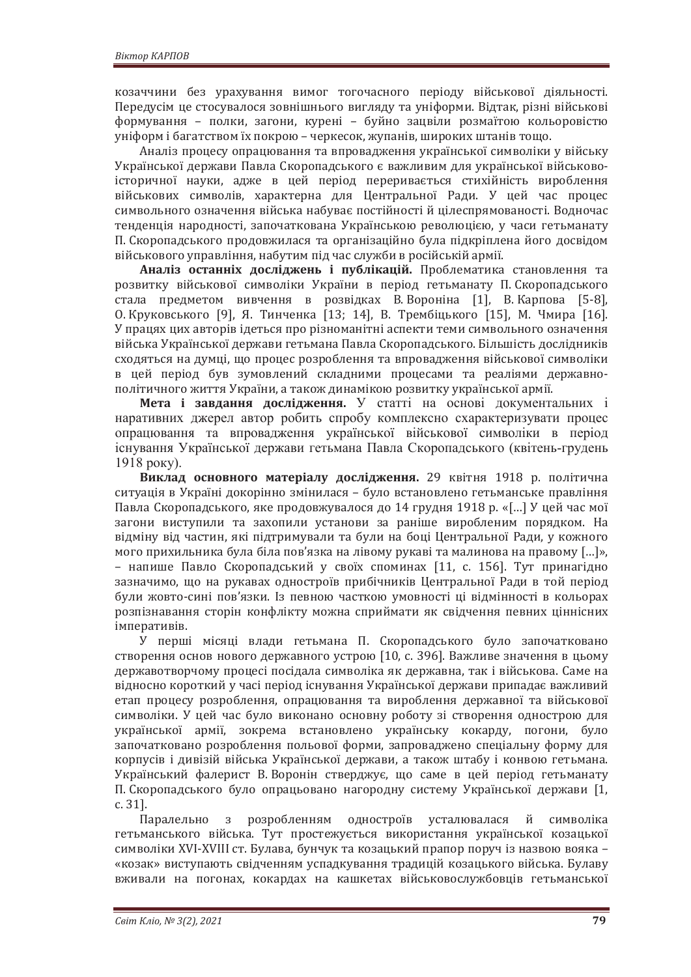козаччини без урахування вимог тогочасного періоду військової діяльності. Передусім це стосувалося зовнішнього вигляду та уніформи. Відтак, різні військові формування - полки, загони, курені - буйно зацвіли розмаїтою кольоровістю уніформ і багатством їх покрою - черкесок, жупанів, широких штанів тощо.

Аналіз процесу опрацювання та впровадження української символіки у війську Української держави Павла Скоропадського є важливим для української військовоісторичної науки, адже в цей період переривається стихійність вироблення військових символів, характерна для Центральної Ради. У цей час процес символьного означення війська набуває постійності й цілеспрямованості. Водночас тенденція народності, започаткована Українською революцією, у часи гетьманату П. Скоропадського продовжилася та організаційно була підкріплена його досвідом військового управління, набутим під час служби в російській армії.

Аналіз останніх досліджень і публікацій. Проблематика становлення та розвитку військової символіки України в період гетьманату П. Скоропадського стала предметом вивчення в розвідках В. Вороніна [1], В. Карпова [5-8], О. Круковського [9], Я. Тинченка [13; 14], В. Трембіцького [15], М. Чмира [16]. У працях цих авторів ідеться про різноманітні аспекти теми символьного означення війська Української держави гетьмана Павла Скоропадського. Більшість дослідників сходяться на думці, що процес розроблення та впровадження військової символіки в цей період був зумовлений складними процесами та реаліями державнополітичного життя України, а також динамікою розвитку української армії.

Мета і завдання дослідження. У статті на основі документальних і наративних джерел автор робить спробу комплексно схарактеризувати процес опрацювання та впровадження української військової символіки в період існування Української держави гетьмана Павла Скоропадського (квітень-грудень  $1918$  poky).

Виклад основного матеріалу дослідження. 29 квітня 1918 р. політична ситуація в Україні докорінно змінилася - було встановлено гетьманське правління Павла Скоропадського, яке продовжувалося до 14 грудня 1918 р. «[...] У цей час мої загони виступили та захопили установи за раніше виробленим порядком. На відміну від частин, які підтримували та були на боці Центральної Ради, у кожного мого прихильника була біла пов'язка на лівому рукаві та малинова на правому [...]», – напише Павло Скоропадський у своїх споминах [11, с. 156]. Тут принагідно зазначимо, що на рукавах одностроїв прибічників Центральної Ради в той період були жовто-сині пов'язки. Із певною часткою умовності ці відмінності в кольорах розпізнавання сторін конфлікту можна сприймати як свідчення певних ціннісних імперативів.

У перші місяці влади гетьмана П. Скоропадського було започатковано створення основ нового державного устрою [10, с. 396]. Важливе значення в цьому державотворчому процесі посідала символіка як державна, так і військова. Саме на відносно короткий у часі період існування Української держави припадає важливий етап процесу розроблення, опрацювання та вироблення державної та військової символіки. У цей час було виконано основну роботу зі створення однострою для української армії, зокрема встановлено українську кокарду, погони, було започатковано розроблення польової форми, запроваджено спеціальну форму для корпусів і дивізій війська Української держави, а також штабу і конвою гетьмана. Український фалерист В. Воронін стверджує, що саме в цей період гетьманату П. Скоропадського було опрацьовано нагородну систему Української держави [1, c. 31].

Паралельно з розробленням одностроїв усталювалася й символіка гетьманського війська. Тут простежується використання української козацької символіки XVI-XVIII ст. Булава, бунчук та козацький прапор поруч із назвою вояка -«козак» виступають свідченням успадкування традицій козацького війська. Булаву вживали на погонах, кокардах на кашкетах військовослужбовців гетьманської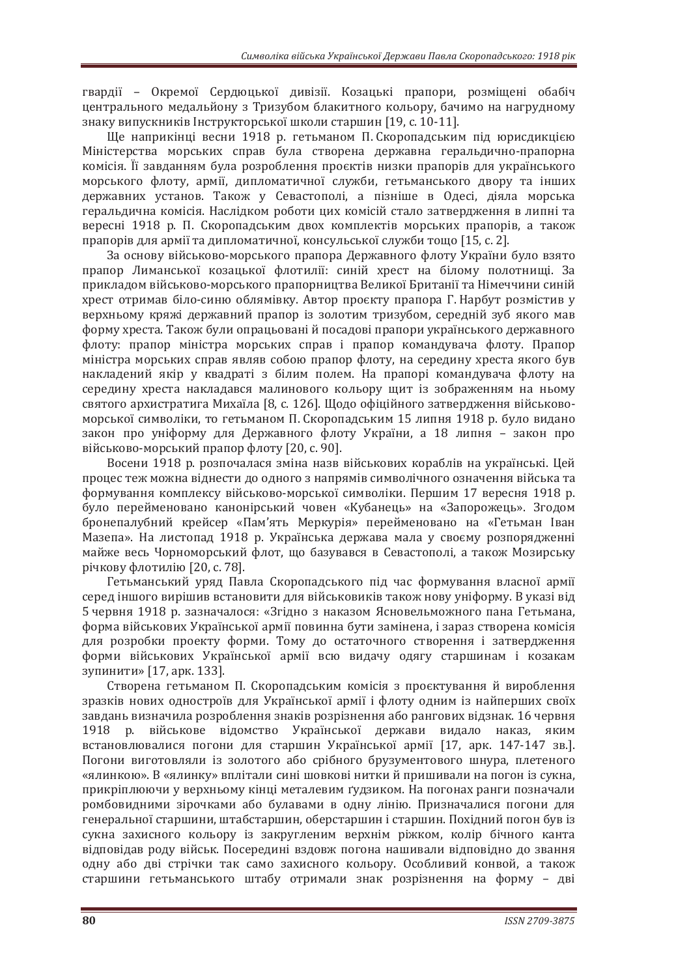гвардії - Окремої Сердюцької дивізії. Козацькі прапори, розміщені обабіч центрального медальйону з Тризубом блакитного кольору, бачимо на нагрудному знаку випускників Інструкторської школи старшин [19, с. 10-11].

Ще наприкінці весни 1918 р. гетьманом П. Скоропадським під юрисликцією Міністерства морських справ була створена державна геральдично-прапорна комісія. Її завданням була розроблення проєктів низки прапорів для українського морського флоту, армії, дипломатичної служби, гетьманського двору та інших державних установ. Також у Севастополі, а пізніше в Одесі, діяла морська геральдична комісія. Наслідком роботи цих комісій стало затвердження в липні та вересні 1918 р. П. Скоропадським двох комплектів морських прапорів, а також прапорів для армії та дипломатичної, консульської служби тощо [15, с. 2].

За основу військово-морського прапора Державного флоту України було взято прапор Лиманської козацької флотилії: синій хрест на білому полотниші. За прикладом військово-морського прапорництва Великої Британії та Німеччини синій хрест отримав біло-синю облямівку. Автор проєкту прапора Г. Нарбут розмістив у верхньому кряжі державний прапор із золотим тризубом, середній зуб якого мав форму хреста. Також були опрацьовані й посадові прапори українського державного флоту: прапор міністра морських справ і прапор командувача флоту. Прапор міністра морських справ являв собою прапор флоту, на середину хреста якого був накладений якір у квадраті з білим полем. На прапорі командувача флоту на середину хреста накладався малинового кольору щит із зображенням на ньому святого архистратига Михаїла [8, с. 126]. Щодо офіційного затвердження військовоморської символіки, то гетьманом П. Скоропадським 15 липня 1918 р. було видано закон про уніформу для Державного флоту України, а 18 липня - закон про військово-морський прапор флоту [20, с. 90].

Восени 1918 р. розпочалася зміна назв військових кораблів на українські. Цей процес теж можна віднести до одного з напрямів символічного означення війська та формування комплексу військово-морської символіки. Першим 17 вересня 1918 р. було перейменовано канонірський човен «Кубанець» на «Запорожець». Згодом бронепалубний крейсер «Пам'ять Меркурія» перейменовано на «Гетьман Іван Мазепа». На листопад 1918 р. Українська держава мала у своєму розпорядженні майже весь Чорноморський флот, що базувався в Севастополі, а також Мозирську річкову флотилію [20, с. 78].

Гетьманський уряд Павла Скоропадського під час формування власної армії серед іншого вирішив встановити для військовиків також нову уніформу. В указі від 5 червня 1918 р. зазначалося: «Згідно з наказом Ясновельможного пана Гетьмана, форма військових Української армії повинна бути замінена, і зараз створена комісія для розробки проекту форми. Тому до остаточного створення і затвердження форми військових Української армії всю видачу одягу старшинам і козакам зупинити» [17, арк. 133].

Створена гетьманом П. Скоропадським комісія з проєктування й вироблення зразків нових одностроїв для Української армії і флоту одним із найперших своїх завдань визначила розроблення знаків розрізнення або рангових відзнак. 16 червня 1918 р. військове відомство Української держави видало наказ, яким встановлювалися погони для старшин Української армії [17. арк. 147-147 зв.]. Погони виготовляли із золотого або срібного брузументового шнура, плетеного «ялинкою». В «ялинку» вплітали сині шовкові нитки й пришивали на погон із сукна. прикріплюючи у верхньому кінці металевим ґудзиком. На погонах ранги позначали ромбовидними зірочками або булавами в одну лінію. Призначалися погони для генеральної старшини, штабстаршин, оберстаршин і старшин. Похідний погон був із сукна захисного кольору із закругленим верхнім ріжком, колір бічного канта відповідав роду військ. Посередині вздовж погона нашивали відповідно до звання одну або дві стрічки так само захисного кольору. Особливий конвой, а також старшини гетьманського штабу отримали знак розрізнення на форму - дві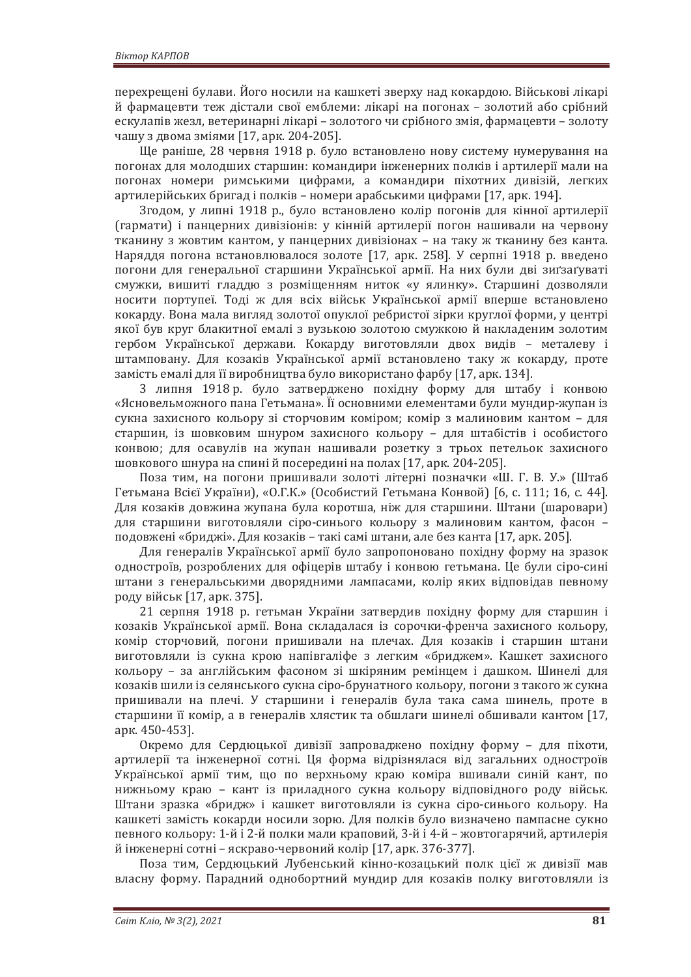перехрещені булави. Його носили на кашкеті зверху над кокардою. Військові лікарі й фармацевти теж дістали свої емблеми: лікарі на погонах – золотий або срібний ескулапів жезл, ветеринарні лікарі – золотого чи срібного змія, фармацевти – золоту чашу з двома зміями [17, арк. 204-205].

Ще раніше, 28 червня 1918 р. було встановлено нову систему нумерування на погонах для молодших старшин: командири інженерних полків і артилерії мали на погонах номери римськими цифрами, а командири піхотних дивізій, легких артилерійських бригад і полків – номери арабськими цифрами [17, арк. 194].

Згодом, у липні 1918 р., було встановлено колір погонів для кінної артилерії (гармати) і панцерних дивізіонів: у кінній артилерії погон нашивали на червону тканину з жовтим кантом, у панцерних дивізіонах – на таку ж тканину без канта. Наряддя погона встановлювалося золоте [17, арк. 258]. У серпні 1918 р. введено погони для генеральної старшини Української армії. На них були дві зиґзаґуваті смужки, вишиті гладдю з розміщенням ниток «у ялинку». Старшині дозволяли носити портупеї. Тоді ж для всіх військ Української армії вперше встановлено кокарду. Вона мала вигляд золотої опуклої ребристої зірки круглої форми, у центрі якої був круг блакитної емалі з вузькою золотою смужкою й накладеним золотим гербом Української держави. Кокарду виготовляли двох видів - металеву і штамповану. Для козаків Української армії встановлено таку ж кокарду, проте замість емалі для її виробництва було використано фарбу [17, арк. 134].

3 липня 1918 р. було затверджено похідну форму для штабу і конвою «Ясновельможного пана Гетьмана». Її основними елементами були мундир-жупан із сукна захисного кольору зі сторчовим коміром; комір з малиновим кантом - для старшин, із шовковим шнуром захисного кольору - для штабістів і особистого конвою; для осавулів на жупан нашивали розетку з трьох петельок захисного шовкового шнура на спині й посередині на полах [17, арк. 204-205].

Поза тим, на погони пришивали золоті літерні позначки «Ш. Г. В. У.» (Штаб Гетьмана Всієї України), «О.Г.К.» (Особистий Гетьмана Конвой) [6, с. 111; 16, с. 44]. Для козаків довжина жупана була коротша, ніж для старшини. Штани (шаровари) для старшини виготовляли сіро-синього кольору з малиновим кантом, фасон подовжені «бриджі». Для козаків – такі самі штани, але без канта [17, арк. 205].

Для генералів Української армії було запропоновано похідну форму на зразок одностроїв, розроблених для офіцерів штабу і конвою гетьмана. Це були сіро-сині штани з генеральськими дворядними лампасами, колір яких відповідав певному роду військ [17, арк. 375].

21 серпня 1918 р. гетьман України затвердив похідну форму для старшин і козаків Української армії. Вона складалася із сорочки-френча захисного кольору, комір сторчовий, погони пришивали на плечах. Для козаків і старшин штани виготовляли із сукна крою напівгаліфе з легким «бриджем». Кашкет захисного кольору – за англійським фасоном зі шкіряним ремінцем і дашком. Шинелі для козаків шили із селянського сукна сіро-брунатного кольору, погони з такого ж сукна пришивали на плечі. У старшини і генералів була така сама шинель, проте в старшини її комір, а в генералів хлястик та обшлаги шинелі обшивали кантом [17, арк. 450-453].

Окремо для Сердюцької дивізії запроваджено похідну форму - для піхоти, артилерії та інженерної сотні. Ця форма відрізнялася від загальних одностроїв Української армії тим, що по верхньому краю коміра вшивали синій кант, по нижньому краю - кант із приладного сукна кольору відповідного роду військ. Штани зразка «бридж» і кашкет виготовляли із сукна сіро-синього кольору. На кашкеті замість кокарди носили зорю. Для полків було визначено пампасне сукно певного кольору: 1-й і 2-й полки мали краповий, 3-й і 4-й – жовтогарячий, артилерія й інженерні сотні – яскраво-червоний колір [17, арк. 376-377].

Поза тим, Сердюцький Лубенський кінно-козацький полк цієї ж дивізії мав власну форму. Парадний однобортний мундир для козаків полку виготовляли із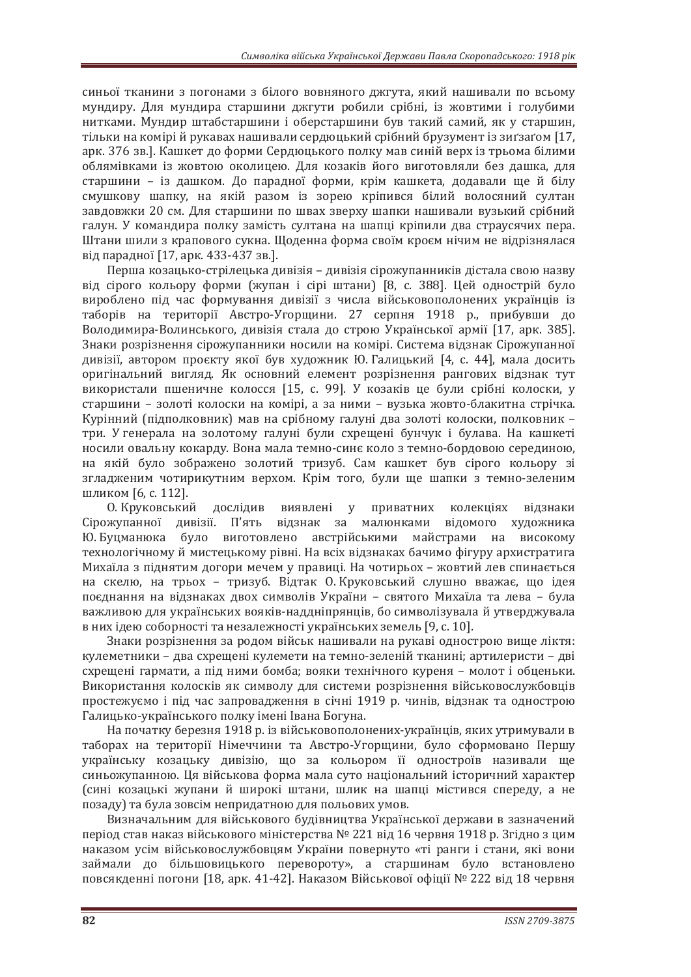синьої тканини з погонами з білого вовняного джгута, який нашивали по всьому мундиру. Для мундира старшини джгути робили срібні, із жовтими і голубими нитками. Мундир штабстаршини і оберстаршини був такий самий, як у старшин, тільки на комірі й рукавах нашивали сердюцький срібний брузумент із зиґзаґом [17, арк. 376 зв.]. Кашкет до форми Сердюцького полку мав синій верх із трьома білими облямівками із жовтою околицею. Для козаків його виготовляли без дашка, для старшини – із дашком. До парадної форми, крім кашкета, додавали ще й білу смушкову шапку, на якій разом із зорею кріпився білий волосяний султан завдовжки 20 см. Для старшини по швах зверху шапки нашивали вузький срібний галун. У командира полку замість султана на шапці кріпили два страусячих пера. Штани шили з крапового сукна. Щоденна форма своїм кроєм нічим не відрізнялася від парадної [17, арк. 433-437 зв.].

Перша козанько-стріленька дивізія – дивізія сірожупанників дістала свою назву від сірого кольору форми (жупан і сірі штани) [8, с. 388]. Цей однострій було вироблено під час формування дивізії з числа військовополонених українців із таборів на території Австро-Угорщини. 27 серпня 1918 р., прибувши до Володимира-Волинського, дивізія стала до строю Української армії [17, арк. 385]. Знаки розрізнення сірожупанники носили на комірі. Система відзнак Сірожупанної дивізії, автором проєкту якої був художник Ю. Галицький [4, с. 44], мала досить оригінальний вигляд. Як основний елемент розрізнення рангових відзнак тут використали пшеничне колосся [15, с. 99]. У козаків це були срібні колоски, у старшини - золоті колоски на комірі, а за ними - вузька жовто-блакитна стрічка. Курінний (підполковник) мав на срібному галуні два золоті колоски, полковник три. У генерала на золотому галуні були схрещені бунчук і булава. На кашкеті носили овальну кокарду. Вона мала темно-синє коло з темно-бордовою серединою, на якій було зображено золотий тризуб. Сам кашкет був сірого кольору зі згладженим чотирикутним верхом. Крім того, були ще шапки з темно-зеленим шликом [6, с. 112].

О. Круковський дослідив виявлені у приватних колекціях відзнаки Сірожупанної дивізії. П'ять відзнак за малюнками відомого художника Ю. Буцманюка було виготовлено австрійськими майстрами на високому технологічному й мистецькому рівні. На всіх відзнаках бачимо фігуру архистратига Михаїла з піднятим догори мечем у правиці. На чотирьох – жовтий лев спинається на скелю, на трьох – тризуб. Відтак О. Круковський слушно вважає, що ідея поєднання на відзнаках двох символів України - святого Михаїла та лева - була важливою для українських вояків-наддніпрянців, бо символізувала й утверджувала в них ідею соборності та незалежності українських земель [9, с. 10].

Знаки розрізнення за родом військ нашивали на рукаві однострою вище ліктя: кулеметники - два схрещені кулемети на темно-зеленій тканині; артилеристи - дві схрещені гармати, а під ними бомба; вояки технічного куреня - молот і обценьки. Використання колосків як символу для системи розрізнення військовослужбовців простежуємо і під час запровадження в січні 1919 р. чинів, відзнак та однострою Галицько-українського полку імені Івана Богуна.

На початку березня 1918 р. із військовополонених-українців, яких утримували в таборах на території Німеччини та Австро-Угоршини, було сформовано Першу українську козацьку дивізію, що за кольором її одностроїв називали ще синьожупанною. Ця військова форма мала суто національний історичний характер (сині козацькі жупани й широкі штани, шлик на шапці містився спереду, а не позаду) та була зовсім непридатною для польових умов.

Визначальним для військового будівництва Української держави в зазначений період став наказ військового міністерства № 221 від 16 червня 1918 р. Згідно з цим наказом усім військовослужбовцям України повернуто «ті ранги і стани, які вони займали до більшовицького перевороту», а старшинам було встановлено повсякденні погони [18, арк. 41-42]. Наказом Військової офіції № 222 від 18 червня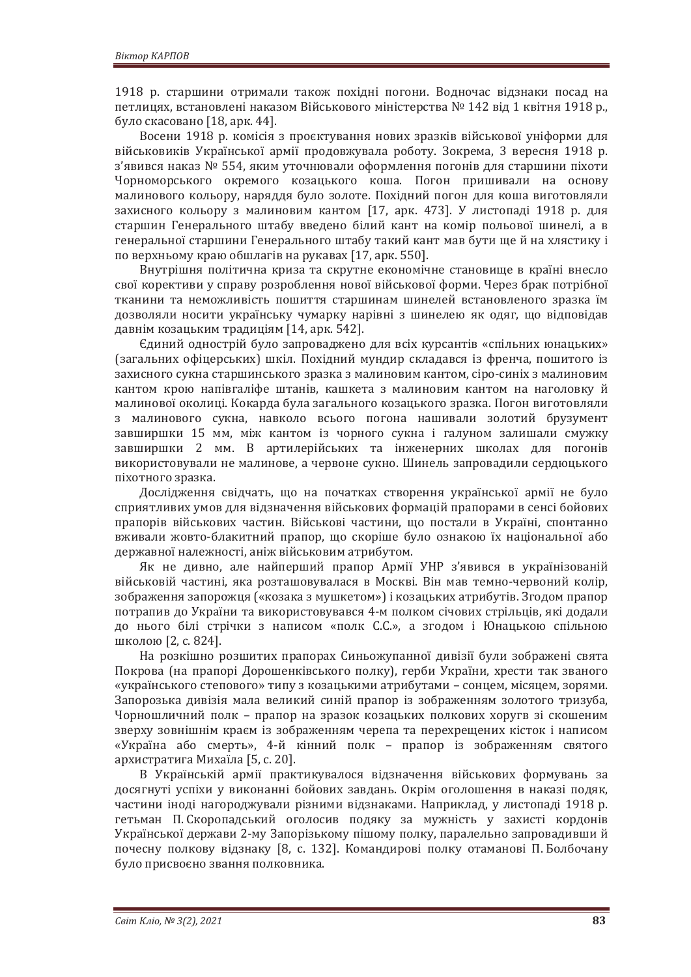1918 р. старшини отримали також похідні погони. Водночас відзнаки посад на петлицях, встановлені наказом Військового міністерства № 142 від 1 квітня 1918 р., було скасовано [18, арк. 44].

Восени 1918 р. комісія з проєктування нових зразків військової уніформи для військовиків Української армії продовжувала роботу. Зокрема, 3 вересня 1918 р. з'явився наказ № 554, яким уточнювали оформлення погонів для старшини піхоти Чорноморського окремого козацького коша. Погон пришивали на основу малинового кольору, наряддя було золоте. Похідний погон для коша виготовляли захисного кольору з малиновим кантом [17, арк. 473]. У листопаді 1918 р. для старшин Генерального штабу введено білий кант на комір польової шинелі, а в генеральної старшини Генерального штабу такий кант мав бути ще й на хлястику і по верхньому краю обшлагів на рукавах [17, арк. 550].

Внутрішня політична криза та скрутне економічне становище в країні внесло свої корективи у справу розроблення нової військової форми. Через брак потрібної тканини та неможливість пошиття старшинам шинелей встановленого зразка їм дозволяли носити українську чумарку нарівні з шинелею як одяг, що відповідав давнім козацьким традиціям [14, арк. 542].

Сдиний однострій було запроваджено для всіх курсантів «спільних юнацьких» (загальних офіцерських) шкіл. Похідний мундир складався із френча, пошитого із захисного сукна старшинського зразка з малиновим кантом, сіро-синіх з малиновим кантом крою напівгаліфе штанів, кашкета з малиновим кантом на наголовку й малинової околиці. Кокарда була загального козацького зразка. Погон виготовляли з малинового сукна, навколо всього погона нашивали золотий брузумент завширшки 15 мм, між кантом із чорного сукна і галуном залишали смужку завширшки 2 мм. В артилерійських та інженерних школах для погонів використовували не малинове, а червоне сукно. Шинель запровадили сердюцького піхотного зразка.

Дослідження свідчать, що на початках створення української армії не було сприятливих умов для відзначення військових формацій прапорами в сенсі бойових прапорів військових частин. Військові частини, що постали в Україні, спонтанно вживали жовто-блакитний прапор, що скоріше було ознакою їх національної або державної належності, аніж військовим атрибутом.

Як не дивно, але найперший прапор Армії УНР з'явився в українізованій військовій частині, яка розташовувалася в Москві. Він мав темно-червоний колір, зображення запорожця («козака з мушкетом») і козацьких атрибутів. Згодом прапор потрапив до України та використовувався 4-м полком січових стрільців, які додали до нього білі стрічки з написом «полк С.С.», а згодом і Юнацькою спільною школою [2, с. 824].

На розкішно розшитих прапорах Синьожупанної дивізії були зображені свята Покрова (на прапорі Дорошенківського полку), герби України, хрести так званого «українського степового» типу з козацькими атрибутами - сонцем, місяцем, зорями. Запорозька дивізія мала великий синій прапор із зображенням золотого тризуба, Чорношличний полк - прапор на зразок козацьких полкових хоругв зі скошеним зверху зовнішнім краєм із зображенням черепа та перехрещених кісток і написом «Україна або смерть», 4-й кінний полк - прапор із зображенням святого архистратига Михаїла [5, с. 20].

В Українській армії практикувалося відзначення військових формувань за досягнуті успіхи у виконанні бойових завдань. Окрім оголошення в наказі подяк, частини іноді нагороджували різними відзнаками. Наприклад, у листопаді 1918 р. гетьман П. Скоропадський оголосив подяку за мужність у захисті кордонів Української держави 2-му Запорізькому пішому полку, паралельно запровадивши й почесну полкову відзнаку [8, с. 132]. Командирові полку отаманові П. Болбочану було присвоєно звання полковника.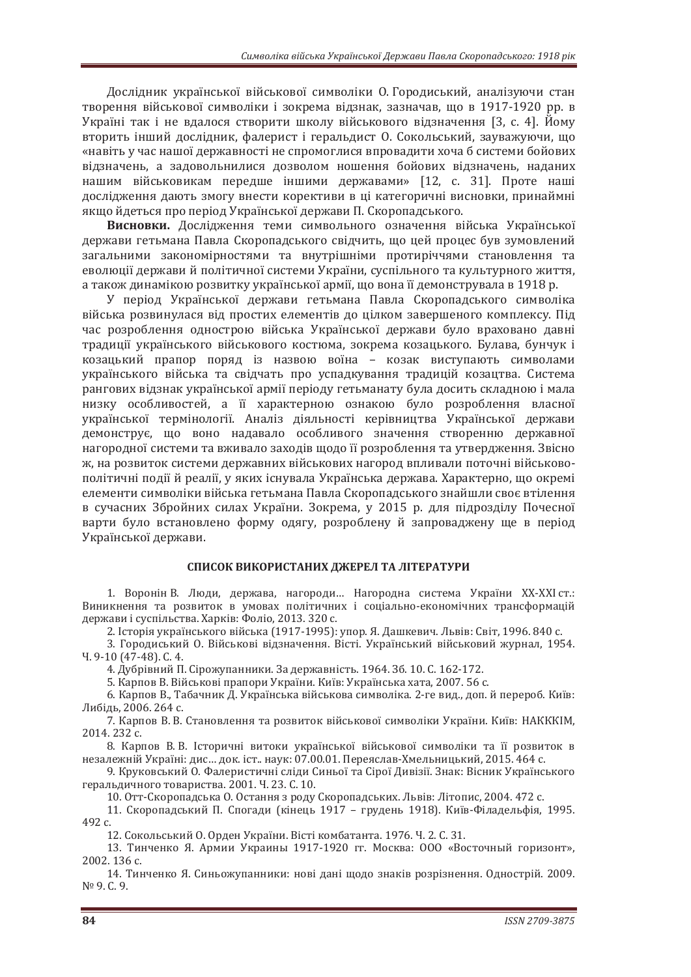Дослідник української військової символіки О. Городиський, аналізуючи стан творення військової символіки і зокрема відзнак, зазначав, що в 1917-1920 рр. в Україні так і не вдалося створити школу військового відзначення [3, с. 4]. Йому вторить інший лослілник, фалерист і геральлист О. Сокольський, зауважуючи, шо «навіть у час нашої державності не спромоглися впровадити хоча б системи бойових відзначень, а задовольнилися дозволом ношення бойових відзначень, наданих нашим військовикам передше іншими державами» [12, с. 31]. Проте наші дослідження дають змогу внести корективи в ці категоричні висновки, принаймні якщо йдеться про період Української держави П. Скоропадського.

Висновки. Дослідження теми символьного означення війська Української держави гетьмана Павла Скоропадського свідчить, що цей процес був зумовлений загальними закономірностями та внутрішніми протиріччями становлення та еволюції держави й політичної системи України, суспільного та культурного життя. а також динамікою розвитку української армії, що вона її демонструвала в 1918 р.

У період Української держави гетьмана Павла Скоропадського символіка війська розвинулася від простих елементів до цілком завершеного комплексу. Під час розроблення однострою війська Української держави було враховано давні традиції українського військового костюма, зокрема козацького. Булава, бунчук і козацький прапор поряд із назвою воїна - козак виступають символами українського війська та свідчать про успадкування традицій козацтва. Система рангових відзнак української армії періоду гетьманату була досить складною і мала низку особливостей, а її характерною ознакою було розроблення власної української термінології. Аналіз діяльності керівництва Української держави демонструє, що воно надавало особливого значення створенню державної нагородної системи та вживало заходів щодо її розроблення та утвердження. Звісно ж, на розвиток системи державних військових нагород впливали поточні військовополітичні події й реалії, у яких існувала Українська держава. Характерно, що окремі елементи символіки війська гетьмана Павла Скоропадського знайшли своє втілення в сучасних Збройних силах України. Зокрема, у 2015 р. для підрозділу Почесної варти було встановлено форму одягу, розроблену й запроваджену ще в період Української держави.

### СПИСОК ВИКОРИСТАНИХ ЛЖЕРЕЛ ТА ЛІТЕРАТУРИ

1. Воронін В. Люди, держава, нагороди... Нагородна система України XX-XXI ст.: Виникнення та розвиток в умовах політичних і соціально-економічних трансформацій держави і суспільства. Харків: Фоліо, 2013, 320 с.

2. Історія українського війська (1917-1995): упор. Я. Дашкевич. Львів: Світ, 1996. 840 с.

3. Городиський О. Військові відзначення. Вісті. Український військовий журнал, 1954.  $4.9-10$  (47-48). C. 4.

4. Дубрівний П. Сірожупанники. За державність. 1964. Зб. 10. С. 162-172.

5. Карпов В. Військові прапори України. Київ: Українська хата, 2007. 56 с.

6. Карпов В., Табачник Д. Українська військова символіка. 2-ге вид., доп. й перероб. Київ: Либідь, 2006. 264 с.

7. Карпов В. В. Становлення та розвиток військової символіки України. Київ: НАКККІМ, 2014. 232 c.

8. Карпов В. В. Історичні витоки української військової символіки та її розвиток в незалежній Україні: лис... лок. іст.. наук: 07.00.01. Переяслав-Хмельницький. 2015. 464 с.

9. Круковський О. Фалеристичні сліли Синьої та Сірої Ливізії. Знак: Вісник Українського геральдичного товариства. 2001. Ч. 23. С. 10.

10. Отт-Скоропадська О. Остання з роду Скоропадських. Львів: Літопис, 2004. 472 с.

11. Скоропадський П. Спогади (кінець 1917 - грудень 1918). Київ-Філадельфія, 1995. 492 с.

12. Сокольський О. Орден України. Вісті комбатанта. 1976. Ч. 2. С. 31.

13. Тинченко Я. Армии Украины 1917-1920 гг. Москва: ООО «Восточный горизонт», 2002. 136 с.

14. Тинченко Я. Синьожупанники: нові дані щодо знаків розрізнення. Однострій. 2009. N<sup>o</sup> 9. C. 9.